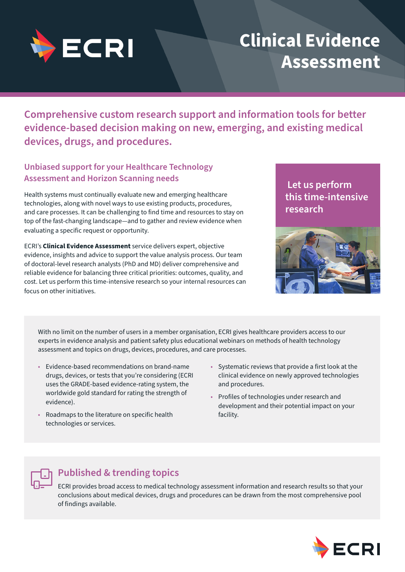

# **Clinical Evidence Assessment**

**Comprehensive custom research support and information tools for better evidence-based decision making on new, emerging, and existing medical devices, drugs, and procedures.**

## **Unbiased support for your Healthcare Technology Assessment and Horizon Scanning needs**

Health systems must continually evaluate new and emerging healthcare technologies, along with novel ways to use existing products, procedures, and care processes. It can be challenging to find time and resources to stay on top of the fast-changing landscape—and to gather and review evidence when evaluating a specific request or opportunity.

ECRI's **Clinical Evidence Assessment** service delivers expert, objective evidence, insights and advice to support the value analysis process. Our team of doctoral-level research analysts (PhD and MD) deliver comprehensive and reliable evidence for balancing three critical priorities: outcomes, quality, and cost. Let us perform this time-intensive research so your internal resources can focus on other initiatives.

# **Let us perform this time-intensive research**



With no limit on the number of users in a member organisation, ECRI gives healthcare providers access to our experts in evidence analysis and patient safety plus educational webinars on methods of health technology assessment and topics on drugs, devices, procedures, and care processes.

- Evidence-based recommendations on brand-name drugs, devices, or tests that you're considering (ECRI uses the GRADE-based evidence-rating system, the worldwide gold standard for rating the strength of evidence).
- Roadmaps to the literature on specific health technologies or services.
- Systematic reviews that provide a first look at the clinical evidence on newly approved technologies and procedures.
- Profiles of technologies under research and development and their potential impact on your facility.



## **Published & trending topics**

ECRI provides broad access to medical technology assessment information and research results so that your conclusions about medical devices, drugs and procedures can be drawn from the most comprehensive pool of findings available.